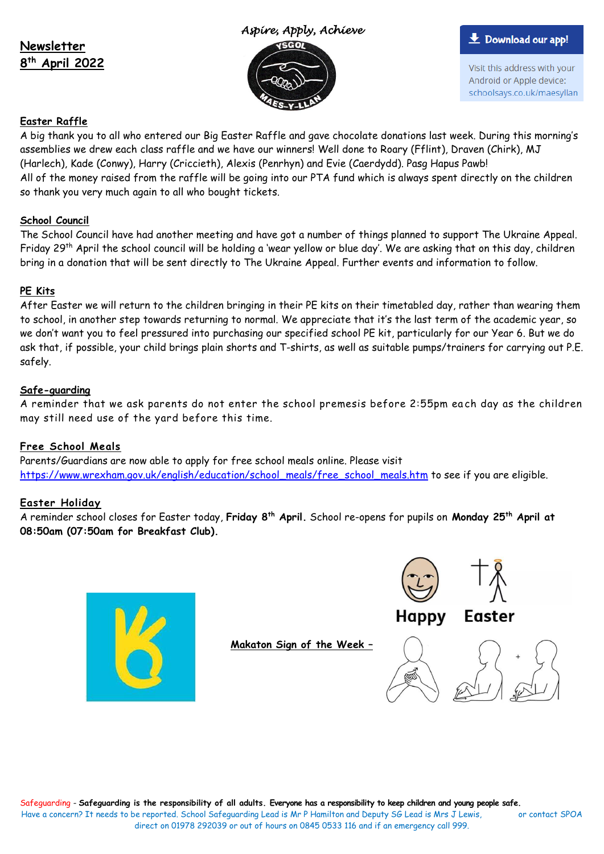#### **Newsletter 8 th April 2022**

#### *Aspire, Apply, Achieve*



#### **L** Download our app!

Visit this address with your Android or Apple device: schoolsays.co.uk/maesyllan

## **Easter Raffle**

A big thank you to all who entered our Big Easter Raffle and gave chocolate donations last week. During this morning's assemblies we drew each class raffle and we have our winners! Well done to Roary (Fflint), Draven (Chirk), MJ (Harlech), Kade (Conwy), Harry (Criccieth), Alexis (Penrhyn) and Evie (Caerdydd). Pasg Hapus Pawb! All of the money raised from the raffle will be going into our PTA fund which is always spent directly on the children so thank you very much again to all who bought tickets.

### **School Council**

The School Council have had another meeting and have got a number of things planned to support The Ukraine Appeal. Friday 29<sup>th</sup> April the school council will be holding a 'wear yellow or blue day'. We are asking that on this day, children bring in a donation that will be sent directly to The Ukraine Appeal. Further events and information to follow.

#### **PE Kits**

After Easter we will return to the children bringing in their PE kits on their timetabled day, rather than wearing them to school, in another step towards returning to normal. We appreciate that it's the last term of the academic year, so we don't want you to feel pressured into purchasing our specified school PE kit, particularly for our Year 6. But we do ask that, if possible, your child brings plain shorts and T-shirts, as well as suitable pumps/trainers for carrying out P.E. safely.

#### **Safe-guarding**

A reminder that we ask parents do not enter the school premesis before 2:55pm ea ch day as the children may still need use of the yard before this time.

### **Free School Meals**

Parents/Guardians are now able to apply for free school meals online. Please visit [https://www.wrexham.gov.uk/english/education/school\\_meals/free\\_school\\_meals.htm](https://www.wrexham.gov.uk/english/education/school_meals/free_school_meals.htm) to see if you are eligible.

### **Easter Holiday**

A reminder school closes for Easter today, **Friday 8th April.** School re-opens for pupils on **Monday 25th April at 08:50am (07:50am for Breakfast Club).**



**Makaton Sign of the Week –**





Happy Easter